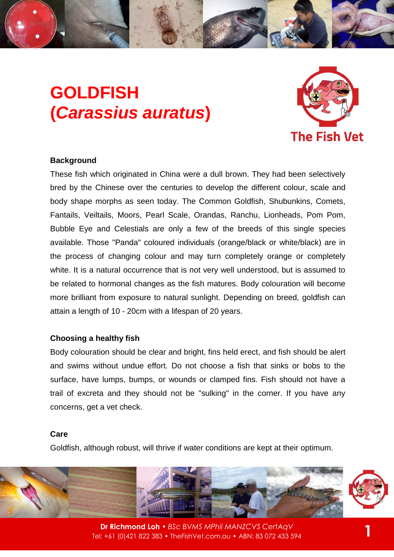# **GOLDFISH (***Carassius auratus***)**



#### **Background**

These fish which originated in China were a dull brown. They had been selectively bred by the Chinese over the centuries to develop the different colour, scale and body shape morphs as seen today. The Common Goldfish, Shubunkins, Comets, Fantails, Veiltails, Moors, Pearl Scale, Orandas, Ranchu, Lionheads, Pom Pom, Bubble Eye and Celestials are only a few of the breeds of this single species available. Those "Panda" coloured individuals (orange/black or white/black) are in the process of changing colour and may turn completely orange or completely white. It is a natural occurrence that is not very well understood, but is assumed to be related to hormonal changes as the fish matures. Body colouration will become more brilliant from exposure to natural sunlight. Depending on breed, goldfish can attain a length of 10 - 20cm with a lifespan of 20 years.

## **Choosing a healthy fish**

Body colouration should be clear and bright, fins held erect, and fish should be alert and swims without undue effort. Do not choose a fish that sinks or bobs to the surface, have lumps, bumps, or wounds or clamped fins. Fish should not have a trail of excreta and they should not be "sulking" in the corner. If you have any concerns, get a vet check.

# **Care**

Goldfish, although robust, will thrive if water conditions are kept at their optimum.



**Dr Richmond Loh** • *BSc BVMS MPhil MANZCVS CertAqV* Tel: +61 (0)421 822 383 • TheFishVet.com.au • ABN: 83 072 433 594 **1**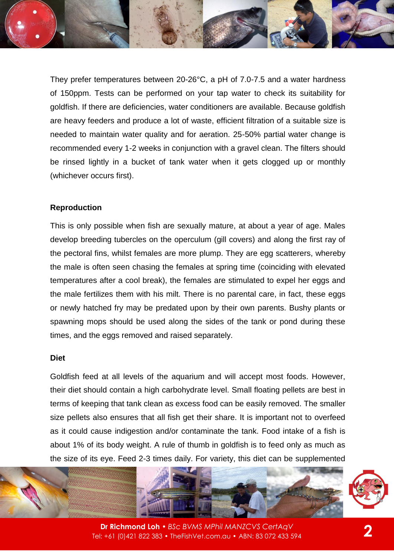They prefer temperatures between 20-26°C, a pH of 7.0-7.5 and a water hardness of 150ppm. Tests can be performed on your tap water to check its suitability for goldfish. If there are deficiencies, water conditioners are available. Because goldfish are heavy feeders and produce a lot of waste, efficient filtration of a suitable size is needed to maintain water quality and for aeration. 25-50% partial water change is recommended every 1-2 weeks in conjunction with a gravel clean. The filters should be rinsed lightly in a bucket of tank water when it gets clogged up or monthly (whichever occurs first).

# **Reproduction**

This is only possible when fish are sexually mature, at about a year of age. Males develop breeding tubercles on the operculum (gill covers) and along the first ray of the pectoral fins, whilst females are more plump. They are egg scatterers, whereby the male is often seen chasing the females at spring time (coinciding with elevated temperatures after a cool break), the females are stimulated to expel her eggs and the male fertilizes them with his milt. There is no parental care, in fact, these eggs or newly hatched fry may be predated upon by their own parents. Bushy plants or spawning mops should be used along the sides of the tank or pond during these times, and the eggs removed and raised separately.

#### **Diet**

Goldfish feed at all levels of the aquarium and will accept most foods. However, their diet should contain a high carbohydrate level. Small floating pellets are best in terms of keeping that tank clean as excess food can be easily removed. The smaller size pellets also ensures that all fish get their share. It is important not to overfeed as it could cause indigestion and/or contaminate the tank. Food intake of a fish is about 1% of its body weight. A rule of thumb in goldfish is to feed only as much as the size of its eye. Feed 2-3 times daily. For variety, this diet can be supplemented



**Dr Richmond Loh** • *BSc BVMS MPhil MANZCVS CertAqV* Tel: +61 (0)421 822 383 • TheFishVet.com.au • ABN: 83 072 433 594 **2**